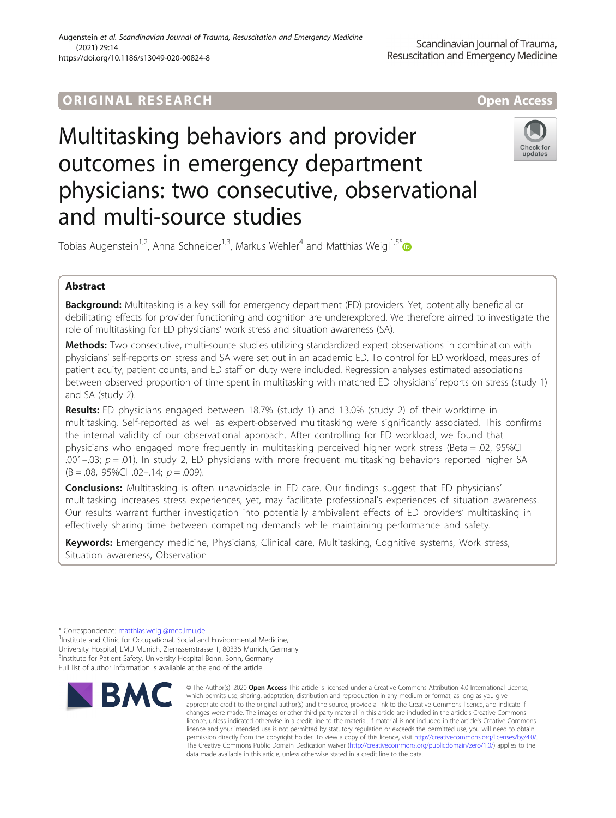# ORIGINA L R E S EA RCH Open Access

# Multitasking behaviors and provider outcomes in emergency department physicians: two consecutive, observational and multi-source studies



Tobias Augenstein<sup>1,2</sup>, Anna Schneider<sup>1,3</sup>, Markus Wehler<sup>4</sup> and Matthias Weigl<sup>1,5[\\*](http://orcid.org/0000-0003-2408-1725)</sup>

# Abstract

Background: Multitasking is a key skill for emergency department (ED) providers. Yet, potentially beneficial or debilitating effects for provider functioning and cognition are underexplored. We therefore aimed to investigate the role of multitasking for ED physicians' work stress and situation awareness (SA).

Methods: Two consecutive, multi-source studies utilizing standardized expert observations in combination with physicians' self-reports on stress and SA were set out in an academic ED. To control for ED workload, measures of patient acuity, patient counts, and ED staff on duty were included. Regression analyses estimated associations between observed proportion of time spent in multitasking with matched ED physicians' reports on stress (study 1) and SA (study 2).

Results: ED physicians engaged between 18.7% (study 1) and 13.0% (study 2) of their worktime in multitasking. Self-reported as well as expert-observed multitasking were significantly associated. This confirms the internal validity of our observational approach. After controlling for ED workload, we found that physicians who engaged more frequently in multitasking perceived higher work stress (Beta = .02, 95%CI .001–.03;  $p = .01$ ). In study 2, ED physicians with more frequent multitasking behaviors reported higher SA  $(B = .08, 95\%$ CI  $.02 - .14; p = .009$ ).

**Conclusions:** Multitasking is often unavoidable in ED care. Our findings suggest that ED physicians' multitasking increases stress experiences, yet, may facilitate professional's experiences of situation awareness. Our results warrant further investigation into potentially ambivalent effects of ED providers' multitasking in effectively sharing time between competing demands while maintaining performance and safety.

Keywords: Emergency medicine, Physicians, Clinical care, Multitasking, Cognitive systems, Work stress, Situation awareness, Observation

<sup>&</sup>lt;sup>1</sup> Institute and Clinic for Occupational, Social and Environmental Medicine, University Hospital, LMU Munich, Ziemssenstrasse 1, 80336 Munich, Germany <sup>5</sup>Institute for Patient Safety, University Hospital Bonn, Bonn, Germany Full list of author information is available at the end of the article



<sup>©</sup> The Author(s), 2020 **Open Access** This article is licensed under a Creative Commons Attribution 4.0 International License, which permits use, sharing, adaptation, distribution and reproduction in any medium or format, as long as you give appropriate credit to the original author(s) and the source, provide a link to the Creative Commons licence, and indicate if changes were made. The images or other third party material in this article are included in the article's Creative Commons licence, unless indicated otherwise in a credit line to the material. If material is not included in the article's Creative Commons licence and your intended use is not permitted by statutory regulation or exceeds the permitted use, you will need to obtain permission directly from the copyright holder. To view a copy of this licence, visit [http://creativecommons.org/licenses/by/4.0/.](http://creativecommons.org/licenses/by/4.0/) The Creative Commons Public Domain Dedication waiver [\(http://creativecommons.org/publicdomain/zero/1.0/](http://creativecommons.org/publicdomain/zero/1.0/)) applies to the data made available in this article, unless otherwise stated in a credit line to the data.

<sup>\*</sup> Correspondence: [matthias.weigl@med.lmu.de](mailto:matthias.weigl@med.lmu.de) <sup>1</sup>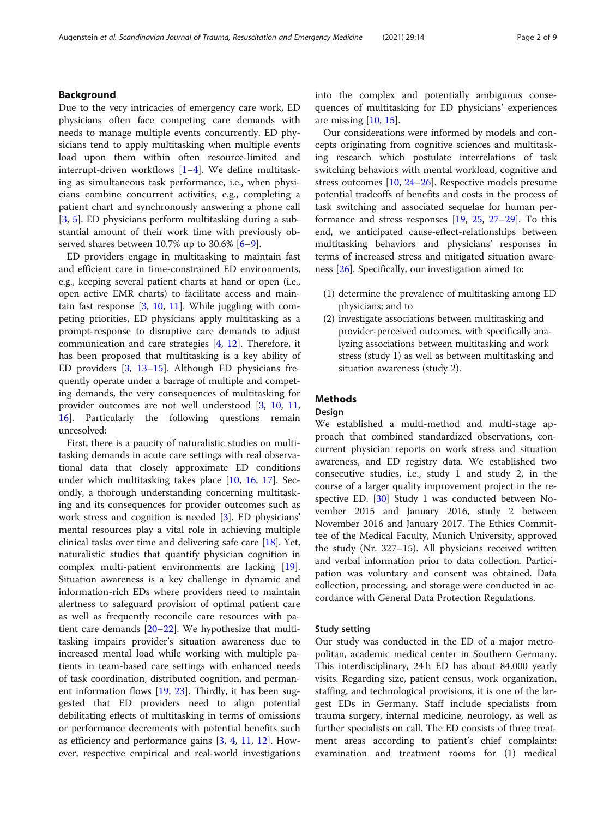# Background

Due to the very intricacies of emergency care work, ED physicians often face competing care demands with needs to manage multiple events concurrently. ED physicians tend to apply multitasking when multiple events load upon them within often resource-limited and interrupt-driven workflows [\[1](#page-6-0)–[4\]](#page-6-0). We define multitasking as simultaneous task performance, i.e., when physicians combine concurrent activities, e.g., completing a patient chart and synchronously answering a phone call [[3,](#page-6-0) [5](#page-6-0)]. ED physicians perform multitasking during a substantial amount of their work time with previously ob-served shares between 10.7% up to 30.[6](#page-6-0)%  $[6-9]$  $[6-9]$ .

ED providers engage in multitasking to maintain fast and efficient care in time-constrained ED environments, e.g., keeping several patient charts at hand or open (i.e., open active EMR charts) to facilitate access and maintain fast response [[3,](#page-6-0) [10,](#page-7-0) [11](#page-7-0)]. While juggling with competing priorities, ED physicians apply multitasking as a prompt-response to disruptive care demands to adjust communication and care strategies [[4,](#page-6-0) [12](#page-7-0)]. Therefore, it has been proposed that multitasking is a key ability of ED providers [[3](#page-6-0), [13](#page-7-0)–[15](#page-7-0)]. Although ED physicians frequently operate under a barrage of multiple and competing demands, the very consequences of multitasking for provider outcomes are not well understood [\[3](#page-6-0), [10,](#page-7-0) [11](#page-7-0), [16\]](#page-7-0). Particularly the following questions remain unresolved:

First, there is a paucity of naturalistic studies on multitasking demands in acute care settings with real observational data that closely approximate ED conditions under which multitasking takes place [[10](#page-7-0), [16,](#page-7-0) [17\]](#page-7-0). Secondly, a thorough understanding concerning multitasking and its consequences for provider outcomes such as work stress and cognition is needed [[3\]](#page-6-0). ED physicians' mental resources play a vital role in achieving multiple clinical tasks over time and delivering safe care [[18](#page-7-0)]. Yet, naturalistic studies that quantify physician cognition in complex multi-patient environments are lacking [\[19](#page-7-0)]. Situation awareness is a key challenge in dynamic and information-rich EDs where providers need to maintain alertness to safeguard provision of optimal patient care as well as frequently reconcile care resources with patient care demands [\[20](#page-7-0)–[22\]](#page-7-0). We hypothesize that multitasking impairs provider's situation awareness due to increased mental load while working with multiple patients in team-based care settings with enhanced needs of task coordination, distributed cognition, and permanent information flows [\[19](#page-7-0), [23\]](#page-7-0). Thirdly, it has been suggested that ED providers need to align potential debilitating effects of multitasking in terms of omissions or performance decrements with potential benefits such as efficiency and performance gains [[3,](#page-6-0) [4](#page-6-0), [11,](#page-7-0) [12\]](#page-7-0). However, respective empirical and real-world investigations into the complex and potentially ambiguous consequences of multitasking for ED physicians' experiences are missing [\[10](#page-7-0), [15\]](#page-7-0).

Our considerations were informed by models and concepts originating from cognitive sciences and multitasking research which postulate interrelations of task switching behaviors with mental workload, cognitive and stress outcomes [\[10](#page-7-0), [24](#page-7-0)–[26\]](#page-7-0). Respective models presume potential tradeoffs of benefits and costs in the process of task switching and associated sequelae for human performance and stress responses [\[19](#page-7-0), [25](#page-7-0), [27](#page-7-0)–[29](#page-7-0)]. To this end, we anticipated cause-effect-relationships between multitasking behaviors and physicians' responses in terms of increased stress and mitigated situation awareness [\[26](#page-7-0)]. Specifically, our investigation aimed to:

- (1) determine the prevalence of multitasking among ED physicians; and to
- (2) investigate associations between multitasking and provider-perceived outcomes, with specifically analyzing associations between multitasking and work stress (study 1) as well as between multitasking and situation awareness (study 2).

# **Methods**

# Design

We established a multi-method and multi-stage approach that combined standardized observations, concurrent physician reports on work stress and situation awareness, and ED registry data. We established two consecutive studies, i.e., study 1 and study 2, in the course of a larger quality improvement project in the re-spective ED. [[30\]](#page-7-0) Study 1 was conducted between November 2015 and January 2016, study 2 between November 2016 and January 2017. The Ethics Committee of the Medical Faculty, Munich University, approved the study (Nr. 327–15). All physicians received written and verbal information prior to data collection. Participation was voluntary and consent was obtained. Data collection, processing, and storage were conducted in accordance with General Data Protection Regulations.

#### Study setting

Our study was conducted in the ED of a major metropolitan, academic medical center in Southern Germany. This interdisciplinary, 24 h ED has about 84.000 yearly visits. Regarding size, patient census, work organization, staffing, and technological provisions, it is one of the largest EDs in Germany. Staff include specialists from trauma surgery, internal medicine, neurology, as well as further specialists on call. The ED consists of three treatment areas according to patient's chief complaints: examination and treatment rooms for (1) medical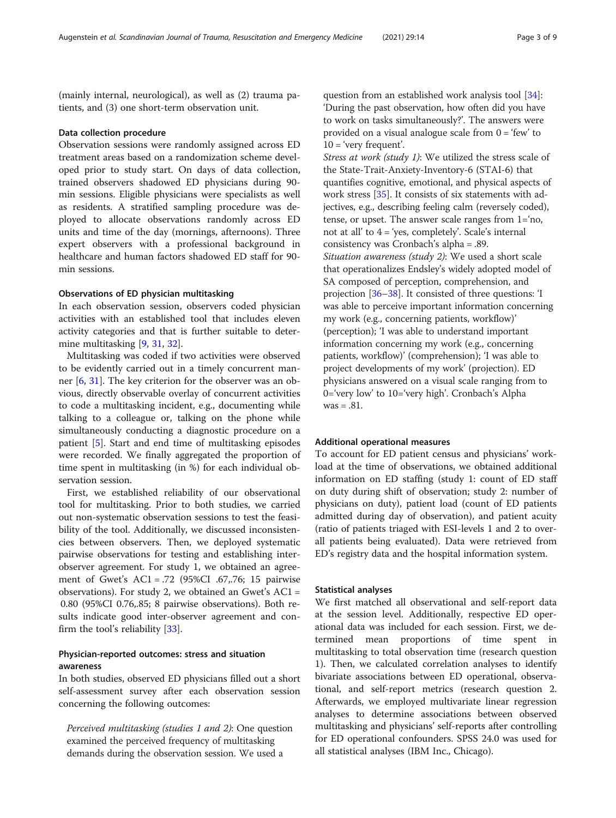(mainly internal, neurological), as well as (2) trauma patients, and (3) one short-term observation unit.

### Data collection procedure

Observation sessions were randomly assigned across ED treatment areas based on a randomization scheme developed prior to study start. On days of data collection, trained observers shadowed ED physicians during 90 min sessions. Eligible physicians were specialists as well as residents. A stratified sampling procedure was deployed to allocate observations randomly across ED units and time of the day (mornings, afternoons). Three expert observers with a professional background in healthcare and human factors shadowed ED staff for 90 min sessions.

# Observations of ED physician multitasking

In each observation session, observers coded physician activities with an established tool that includes eleven activity categories and that is further suitable to determine multitasking [\[9,](#page-7-0) [31,](#page-7-0) [32\]](#page-7-0).

Multitasking was coded if two activities were observed to be evidently carried out in a timely concurrent manner [\[6](#page-6-0), [31](#page-7-0)]. The key criterion for the observer was an obvious, directly observable overlay of concurrent activities to code a multitasking incident, e.g., documenting while talking to a colleague or, talking on the phone while simultaneously conducting a diagnostic procedure on a patient [\[5](#page-6-0)]. Start and end time of multitasking episodes were recorded. We finally aggregated the proportion of time spent in multitasking (in %) for each individual observation session.

First, we established reliability of our observational tool for multitasking. Prior to both studies, we carried out non-systematic observation sessions to test the feasibility of the tool. Additionally, we discussed inconsistencies between observers. Then, we deployed systematic pairwise observations for testing and establishing interobserver agreement. For study 1, we obtained an agreement of Gwet's AC1 = .72 (95%CI .67,.76; 15 pairwise observations). For study 2, we obtained an Gwet's AC1 = 0.80 (95%CI 0.76,.85; 8 pairwise observations). Both results indicate good inter-observer agreement and confirm the tool's reliability [\[33](#page-7-0)].

# Physician-reported outcomes: stress and situation awareness

In both studies, observed ED physicians filled out a short self-assessment survey after each observation session concerning the following outcomes:

Perceived multitasking (studies 1 and 2): One question examined the perceived frequency of multitasking demands during the observation session. We used a

question from an established work analysis tool [\[34\]](#page-7-0): 'During the past observation, how often did you have to work on tasks simultaneously?'. The answers were provided on a visual analogue scale from  $0 = 'few'$  to  $10 = 'very frequent'.$ 

Stress at work (study 1): We utilized the stress scale of the State-Trait-Anxiety-Inventory-6 (STAI-6) that quantifies cognitive, emotional, and physical aspects of work stress [\[35\]](#page-7-0). It consists of six statements with adjectives, e.g., describing feeling calm (reversely coded), tense, or upset. The answer scale ranges from 1='no, not at all' to  $4 = 'yes$ , completely'. Scale's internal consistency was Cronbach's alpha = .89. Situation awareness (study 2): We used a short scale that operationalizes Endsley's widely adopted model of SA composed of perception, comprehension, and projection [[36](#page-7-0)–[38\]](#page-7-0). It consisted of three questions: 'I was able to perceive important information concerning my work (e.g., concerning patients, workflow)' (perception); 'I was able to understand important information concerning my work (e.g., concerning patients, workflow)' (comprehension); 'I was able to project developments of my work' (projection). ED physicians answered on a visual scale ranging from to 0='very low' to 10='very high'. Cronbach's Alpha  $was = .81$ .

## Additional operational measures

To account for ED patient census and physicians' workload at the time of observations, we obtained additional information on ED staffing (study 1: count of ED staff on duty during shift of observation; study 2: number of physicians on duty), patient load (count of ED patients admitted during day of observation), and patient acuity (ratio of patients triaged with ESI-levels 1 and 2 to overall patients being evaluated). Data were retrieved from ED's registry data and the hospital information system.

### Statistical analyses

We first matched all observational and self-report data at the session level. Additionally, respective ED operational data was included for each session. First, we determined mean proportions of time spent in multitasking to total observation time (research question 1). Then, we calculated correlation analyses to identify bivariate associations between ED operational, observational, and self-report metrics (research question 2. Afterwards, we employed multivariate linear regression analyses to determine associations between observed multitasking and physicians' self-reports after controlling for ED operational confounders. SPSS 24.0 was used for all statistical analyses (IBM Inc., Chicago).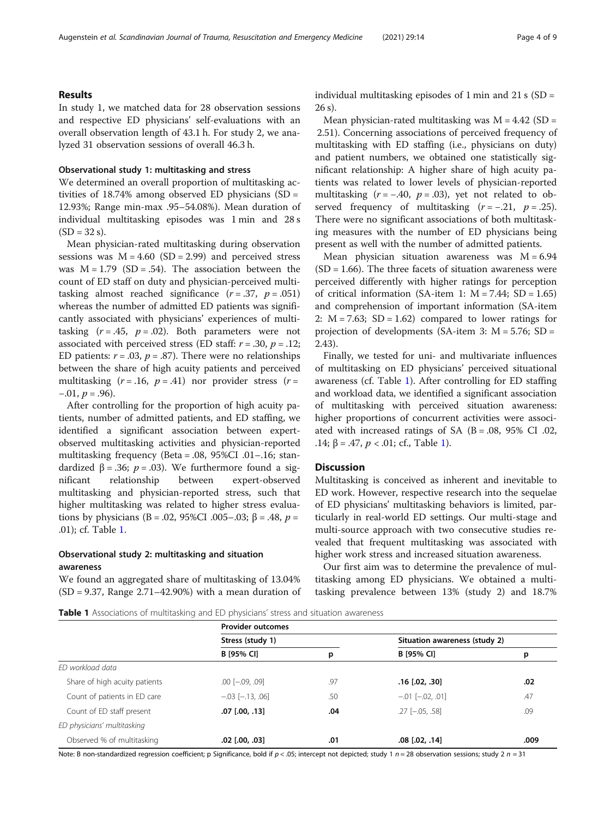# Results

In study 1, we matched data for 28 observation sessions and respective ED physicians' self-evaluations with an overall observation length of 43.1 h. For study 2, we analyzed 31 observation sessions of overall 46.3 h.

# Observational study 1: multitasking and stress

We determined an overall proportion of multitasking activities of 18.74% among observed ED physicians (SD = 12.93%; Range min-max .95–54.08%). Mean duration of individual multitasking episodes was 1 min and 28 s  $(SD = 32 s)$ .

Mean physician-rated multitasking during observation sessions was  $M = 4.60$  (SD = 2.99) and perceived stress was  $M = 1.79$  (SD = .54). The association between the count of ED staff on duty and physician-perceived multitasking almost reached significance  $(r=.37, p=.051)$ whereas the number of admitted ED patients was significantly associated with physicians' experiences of multitasking  $(r=.45, p=.02)$ . Both parameters were not associated with perceived stress (ED staff:  $r = .30$ ,  $p = .12$ ; ED patients:  $r = .03$ ,  $p = .87$ ). There were no relationships between the share of high acuity patients and perceived multitasking  $(r=.16, p=.41)$  nor provider stress  $(r=$  $-.01, p = .96$ ).

After controlling for the proportion of high acuity patients, number of admitted patients, and ED staffing, we identified a significant association between expertobserved multitasking activities and physician-reported multitasking frequency (Beta = .08, 95%CI .01–.16; standardized β = .36;  $p = .03$ ). We furthermore found a significant relationship between expert-observed multitasking and physician-reported stress, such that higher multitasking was related to higher stress evaluations by physicians (B = .02, 95%CI .005–.03; β = .48,  $p =$ .01); cf. Table 1.

# Observational study 2: multitasking and situation awareness

We found an aggregated share of multitasking of 13.04% (SD = 9.37, Range 2.71–42.90%) with a mean duration of individual multitasking episodes of 1 min and 21 s (SD = 26 s).

Mean physician-rated multitasking was  $M = 4.42$  (SD = 2.51). Concerning associations of perceived frequency of multitasking with ED staffing (i.e., physicians on duty) and patient numbers, we obtained one statistically significant relationship: A higher share of high acuity patients was related to lower levels of physician-reported multitasking  $(r = -.40, p = .03)$ , yet not related to observed frequency of multitasking  $(r = -.21, p = .25)$ . There were no significant associations of both multitasking measures with the number of ED physicians being present as well with the number of admitted patients.

Mean physician situation awareness was  $M = 6.94$  $(SD = 1.66)$ . The three facets of situation awareness were perceived differently with higher ratings for perception of critical information (SA-item 1:  $M = 7.44$ ; SD = 1.65) and comprehension of important information (SA-item 2:  $M = 7.63$ ;  $SD = 1.62$  compared to lower ratings for projection of developments (SA-item 3:  $M = 5.76$ ; SD = 2.43).

Finally, we tested for uni- and multivariate influences of multitasking on ED physicians' perceived situational awareness (cf. Table 1). After controlling for ED staffing and workload data, we identified a significant association of multitasking with perceived situation awareness: higher proportions of concurrent activities were associated with increased ratings of SA  $(B = .08, 95\% \text{ CI}$  .02, .14;  $\beta$  = .47,  $p$  < .01; cf., Table 1).

# Discussion

Multitasking is conceived as inherent and inevitable to ED work. However, respective research into the sequelae of ED physicians' multitasking behaviors is limited, particularly in real-world ED settings. Our multi-stage and multi-source approach with two consecutive studies revealed that frequent multitasking was associated with higher work stress and increased situation awareness.

Our first aim was to determine the prevalence of multitasking among ED physicians. We obtained a multitasking prevalence between 13% (study 2) and 18.7%

Table 1 Associations of multitasking and ED physicians' stress and situation awareness

|                               | <b>Provider outcomes</b> |     |                               |      |
|-------------------------------|--------------------------|-----|-------------------------------|------|
|                               | Stress (study 1)         |     | Situation awareness (study 2) |      |
|                               | B [95% CI]               | p   | B [95% CI]                    | р    |
| ED workload data              |                          |     |                               |      |
| Share of high acuity patients | $.00$ $[-.09, .09]$      | .97 | $.16$ $[.02, .30]$            | .02  |
| Count of patients in ED care  | $-.03$ $[-.13, .06]$     | .50 | $-.01$ $[-.02, .01]$          | .47  |
| Count of ED staff present     | $.07$ $[.00, .13]$       | .04 | $.27$ [ $-.05, .58$ ]         | .09  |
| ED physicians' multitasking   |                          |     |                               |      |
| Observed % of multitasking    | $.02$ $[.00, .03]$       | .01 | $.08$ $[.02, .14]$            | .009 |

Note: B non-standardized regression coefficient; p Significance, bold if  $p < .05$ ; intercept not depicted; study 1 n = 28 observation sessions; study 2 n = 31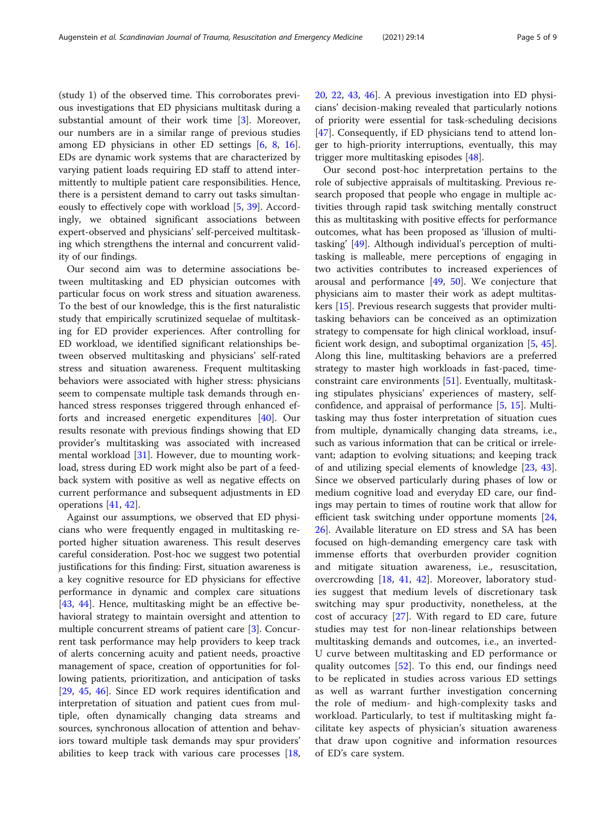(study 1) of the observed time. This corroborates previous investigations that ED physicians multitask during a substantial amount of their work time [[3\]](#page-6-0). Moreover, our numbers are in a similar range of previous studies among ED physicians in other ED settings [\[6](#page-6-0), [8](#page-7-0), [16](#page-7-0)]. EDs are dynamic work systems that are characterized by varying patient loads requiring ED staff to attend intermittently to multiple patient care responsibilities. Hence, there is a persistent demand to carry out tasks simultaneously to effectively cope with workload [[5](#page-6-0), [39\]](#page-7-0). Accordingly, we obtained significant associations between expert-observed and physicians' self-perceived multitasking which strengthens the internal and concurrent validity of our findings.

Our second aim was to determine associations between multitasking and ED physician outcomes with particular focus on work stress and situation awareness. To the best of our knowledge, this is the first naturalistic study that empirically scrutinized sequelae of multitasking for ED provider experiences. After controlling for ED workload, we identified significant relationships between observed multitasking and physicians' self-rated stress and situation awareness. Frequent multitasking behaviors were associated with higher stress: physicians seem to compensate multiple task demands through enhanced stress responses triggered through enhanced efforts and increased energetic expenditures [[40](#page-7-0)]. Our results resonate with previous findings showing that ED provider's multitasking was associated with increased mental workload [[31](#page-7-0)]. However, due to mounting workload, stress during ED work might also be part of a feedback system with positive as well as negative effects on current performance and subsequent adjustments in ED operations [[41](#page-7-0), [42](#page-7-0)].

Against our assumptions, we observed that ED physicians who were frequently engaged in multitasking reported higher situation awareness. This result deserves careful consideration. Post-hoc we suggest two potential justifications for this finding: First, situation awareness is a key cognitive resource for ED physicians for effective performance in dynamic and complex care situations [[43,](#page-7-0) [44](#page-7-0)]. Hence, multitasking might be an effective behavioral strategy to maintain oversight and attention to multiple concurrent streams of patient care [[3\]](#page-6-0). Concurrent task performance may help providers to keep track of alerts concerning acuity and patient needs, proactive management of space, creation of opportunities for following patients, prioritization, and anticipation of tasks [[29,](#page-7-0) [45](#page-7-0), [46](#page-7-0)]. Since ED work requires identification and interpretation of situation and patient cues from multiple, often dynamically changing data streams and sources, synchronous allocation of attention and behaviors toward multiple task demands may spur providers' abilities to keep track with various care processes [[18](#page-7-0), [20,](#page-7-0) [22](#page-7-0), [43](#page-7-0), [46](#page-7-0)]. A previous investigation into ED physicians' decision-making revealed that particularly notions of priority were essential for task-scheduling decisions [[47\]](#page-7-0). Consequently, if ED physicians tend to attend longer to high-priority interruptions, eventually, this may trigger more multitasking episodes [\[48\]](#page-7-0).

Our second post-hoc interpretation pertains to the role of subjective appraisals of multitasking. Previous research proposed that people who engage in multiple activities through rapid task switching mentally construct this as multitasking with positive effects for performance outcomes, what has been proposed as 'illusion of multitasking' [[49](#page-7-0)]. Although individual's perception of multitasking is malleable, mere perceptions of engaging in two activities contributes to increased experiences of arousal and performance [[49](#page-7-0), [50](#page-7-0)]. We conjecture that physicians aim to master their work as adept multitaskers [[15](#page-7-0)]. Previous research suggests that provider multitasking behaviors can be conceived as an optimization strategy to compensate for high clinical workload, insufficient work design, and suboptimal organization [\[5](#page-6-0), [45](#page-7-0)]. Along this line, multitasking behaviors are a preferred strategy to master high workloads in fast-paced, timeconstraint care environments [\[51](#page-7-0)]. Eventually, multitasking stipulates physicians' experiences of mastery, selfconfidence, and appraisal of performance [[5,](#page-6-0) [15](#page-7-0)]. Multitasking may thus foster interpretation of situation cues from multiple, dynamically changing data streams, i.e., such as various information that can be critical or irrelevant; adaption to evolving situations; and keeping track of and utilizing special elements of knowledge [\[23](#page-7-0), [43](#page-7-0)]. Since we observed particularly during phases of low or medium cognitive load and everyday ED care, our findings may pertain to times of routine work that allow for efficient task switching under opportune moments [[24](#page-7-0), [26\]](#page-7-0). Available literature on ED stress and SA has been focused on high-demanding emergency care task with immense efforts that overburden provider cognition and mitigate situation awareness, i.e., resuscitation, overcrowding [\[18](#page-7-0), [41,](#page-7-0) [42\]](#page-7-0). Moreover, laboratory studies suggest that medium levels of discretionary task switching may spur productivity, nonetheless, at the cost of accuracy [\[27](#page-7-0)]. With regard to ED care, future studies may test for non-linear relationships between multitasking demands and outcomes, i.e., an inverted-U curve between multitasking and ED performance or quality outcomes [[52](#page-7-0)]. To this end, our findings need to be replicated in studies across various ED settings as well as warrant further investigation concerning the role of medium- and high-complexity tasks and workload. Particularly, to test if multitasking might facilitate key aspects of physician's situation awareness that draw upon cognitive and information resources of ED's care system.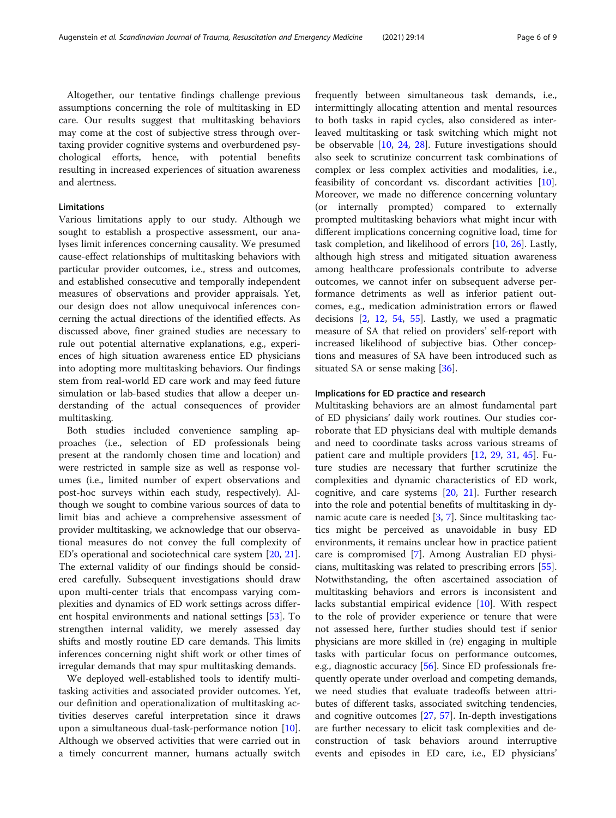Altogether, our tentative findings challenge previous assumptions concerning the role of multitasking in ED care. Our results suggest that multitasking behaviors may come at the cost of subjective stress through overtaxing provider cognitive systems and overburdened psychological efforts, hence, with potential benefits resulting in increased experiences of situation awareness and alertness.

# Limitations

Various limitations apply to our study. Although we sought to establish a prospective assessment, our analyses limit inferences concerning causality. We presumed cause-effect relationships of multitasking behaviors with particular provider outcomes, i.e., stress and outcomes, and established consecutive and temporally independent measures of observations and provider appraisals. Yet, our design does not allow unequivocal inferences concerning the actual directions of the identified effects. As discussed above, finer grained studies are necessary to rule out potential alternative explanations, e.g., experiences of high situation awareness entice ED physicians into adopting more multitasking behaviors. Our findings stem from real-world ED care work and may feed future simulation or lab-based studies that allow a deeper understanding of the actual consequences of provider multitasking.

Both studies included convenience sampling approaches (i.e., selection of ED professionals being present at the randomly chosen time and location) and were restricted in sample size as well as response volumes (i.e., limited number of expert observations and post-hoc surveys within each study, respectively). Although we sought to combine various sources of data to limit bias and achieve a comprehensive assessment of provider multitasking, we acknowledge that our observational measures do not convey the full complexity of ED's operational and sociotechnical care system [\[20](#page-7-0), [21](#page-7-0)]. The external validity of our findings should be considered carefully. Subsequent investigations should draw upon multi-center trials that encompass varying complexities and dynamics of ED work settings across different hospital environments and national settings [\[53](#page-7-0)]. To strengthen internal validity, we merely assessed day shifts and mostly routine ED care demands. This limits inferences concerning night shift work or other times of irregular demands that may spur multitasking demands.

We deployed well-established tools to identify multitasking activities and associated provider outcomes. Yet, our definition and operationalization of multitasking activities deserves careful interpretation since it draws upon a simultaneous dual-task-performance notion [\[10](#page-7-0)]. Although we observed activities that were carried out in a timely concurrent manner, humans actually switch

frequently between simultaneous task demands, i.e., intermittingly allocating attention and mental resources to both tasks in rapid cycles, also considered as interleaved multitasking or task switching which might not be observable [[10,](#page-7-0) [24,](#page-7-0) [28\]](#page-7-0). Future investigations should also seek to scrutinize concurrent task combinations of complex or less complex activities and modalities, i.e., feasibility of concordant vs. discordant activities [\[10](#page-7-0)]. Moreover, we made no difference concerning voluntary (or internally prompted) compared to externally prompted multitasking behaviors what might incur with different implications concerning cognitive load, time for task completion, and likelihood of errors [\[10,](#page-7-0) [26](#page-7-0)]. Lastly, although high stress and mitigated situation awareness among healthcare professionals contribute to adverse outcomes, we cannot infer on subsequent adverse performance detriments as well as inferior patient outcomes, e.g., medication administration errors or flawed decisions [\[2](#page-6-0), [12](#page-7-0), [54](#page-7-0), [55](#page-7-0)]. Lastly, we used a pragmatic measure of SA that relied on providers' self-report with increased likelihood of subjective bias. Other conceptions and measures of SA have been introduced such as situated SA or sense making [\[36](#page-7-0)].

# Implications for ED practice and research

Multitasking behaviors are an almost fundamental part of ED physicians' daily work routines. Our studies corroborate that ED physicians deal with multiple demands and need to coordinate tasks across various streams of patient care and multiple providers [[12,](#page-7-0) [29](#page-7-0), [31,](#page-7-0) [45\]](#page-7-0). Future studies are necessary that further scrutinize the complexities and dynamic characteristics of ED work, cognitive, and care systems [\[20,](#page-7-0) [21](#page-7-0)]. Further research into the role and potential benefits of multitasking in dynamic acute care is needed  $[3, 7]$  $[3, 7]$  $[3, 7]$  $[3, 7]$  $[3, 7]$ . Since multitasking tactics might be perceived as unavoidable in busy ED environments, it remains unclear how in practice patient care is compromised [\[7](#page-6-0)]. Among Australian ED physicians, multitasking was related to prescribing errors [\[55](#page-7-0)]. Notwithstanding, the often ascertained association of multitasking behaviors and errors is inconsistent and lacks substantial empirical evidence [[10\]](#page-7-0). With respect to the role of provider experience or tenure that were not assessed here, further studies should test if senior physicians are more skilled in (re) engaging in multiple tasks with particular focus on performance outcomes, e.g., diagnostic accuracy [\[56](#page-8-0)]. Since ED professionals frequently operate under overload and competing demands, we need studies that evaluate tradeoffs between attributes of different tasks, associated switching tendencies, and cognitive outcomes [[27,](#page-7-0) [57](#page-8-0)]. In-depth investigations are further necessary to elicit task complexities and deconstruction of task behaviors around interruptive events and episodes in ED care, i.e., ED physicians'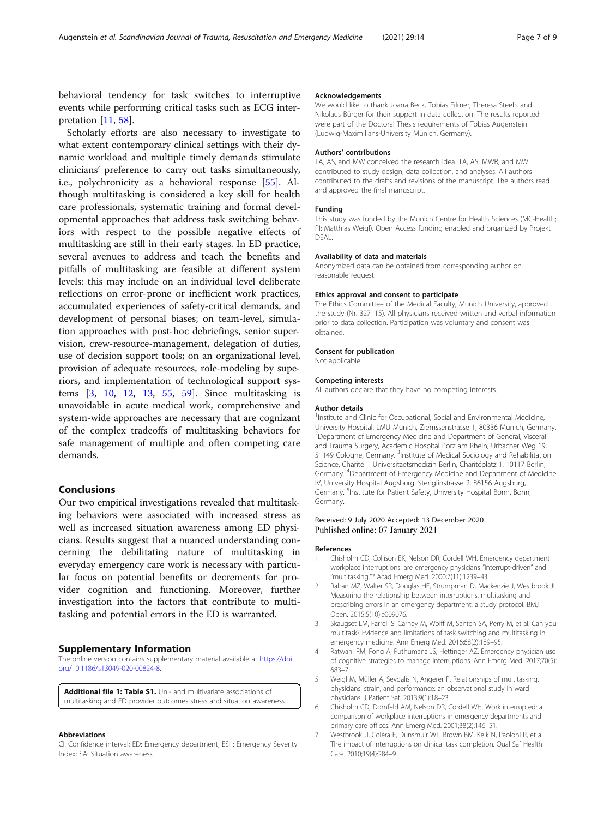<span id="page-6-0"></span>behavioral tendency for task switches to interruptive events while performing critical tasks such as ECG interpretation [[11,](#page-7-0) [58\]](#page-8-0).

Scholarly efforts are also necessary to investigate to what extent contemporary clinical settings with their dynamic workload and multiple timely demands stimulate clinicians' preference to carry out tasks simultaneously, i.e., polychronicity as a behavioral response [[55](#page-7-0)]. Although multitasking is considered a key skill for health care professionals, systematic training and formal developmental approaches that address task switching behaviors with respect to the possible negative effects of multitasking are still in their early stages. In ED practice, several avenues to address and teach the benefits and pitfalls of multitasking are feasible at different system levels: this may include on an individual level deliberate reflections on error-prone or inefficient work practices, accumulated experiences of safety-critical demands, and development of personal biases; on team-level, simulation approaches with post-hoc debriefings, senior supervision, crew-resource-management, delegation of duties, use of decision support tools; on an organizational level, provision of adequate resources, role-modeling by superiors, and implementation of technological support systems [3, [10](#page-7-0), [12,](#page-7-0) [13,](#page-7-0) [55,](#page-7-0) [59\]](#page-8-0). Since multitasking is unavoidable in acute medical work, comprehensive and system-wide approaches are necessary that are cognizant of the complex tradeoffs of multitasking behaviors for safe management of multiple and often competing care demands.

# Conclusions

Our two empirical investigations revealed that multitasking behaviors were associated with increased stress as well as increased situation awareness among ED physicians. Results suggest that a nuanced understanding concerning the debilitating nature of multitasking in everyday emergency care work is necessary with particular focus on potential benefits or decrements for provider cognition and functioning. Moreover, further investigation into the factors that contribute to multitasking and potential errors in the ED is warranted.

# Supplementary Information

The online version contains supplementary material available at [https://doi.](https://doi.org/10.1186/s13049-020-00824-8) [org/10.1186/s13049-020-00824-8.](https://doi.org/10.1186/s13049-020-00824-8)

Additional file 1: Table S1. Uni- and multivariate associations of multitasking and ED provider outcomes stress and situation awareness.

#### Abbreviations

CI: Confidence interval; ED: Emergency department; ESI : Emergency Severity Index; SA: Situation awareness

#### Acknowledgements

We would like to thank Joana Beck, Tobias Filmer, Theresa Steeb, and Nikolaus Bürger for their support in data collection. The results reported were part of the Doctoral Thesis requirements of Tobias Augenstein (Ludwig-Maximilians-University Munich, Germany).

#### Authors' contributions

TA, AS, and MW conceived the research idea. TA, AS, MWR, and MW contributed to study design, data collection, and analyses. All authors contributed to the drafts and revisions of the manuscript. The authors read and approved the final manuscript.

#### Funding

This study was funded by the Munich Centre for Health Sciences (MC-Health; PI: Matthias Weigl). Open Access funding enabled and organized by Projekt DEAL.

#### Availability of data and materials

Anonymized data can be obtained from corresponding author on reasonable request.

#### Ethics approval and consent to participate

The Ethics Committee of the Medical Faculty, Munich University, approved the study (Nr. 327–15). All physicians received written and verbal information prior to data collection. Participation was voluntary and consent was obtained.

#### Consent for publication

Not applicable.

#### Competing interests

All authors declare that they have no competing interests.

#### Author details

<sup>1</sup>Institute and Clinic for Occupational, Social and Environmental Medicine University Hospital, LMU Munich, Ziemssenstrasse 1, 80336 Munich, Germany. <sup>2</sup> Department of Emergency Medicine and Department of General, Visceral and Trauma Surgery, Academic Hospital Porz am Rhein, Urbacher Weg 19, 51149 Cologne, Germany. <sup>3</sup>Institute of Medical Sociology and Rehabilitation Science, Charité – Universitaetsmedizin Berlin, Charitéplatz 1, 10117 Berlin, Germany. <sup>4</sup>Department of Emergency Medicine and Department of Medicine IV, University Hospital Augsburg, Stenglinstrasse 2, 86156 Augsburg, Germany. <sup>5</sup>Institute for Patient Safety, University Hospital Bonn, Bonn, Germany.

### Received: 9 July 2020 Accepted: 13 December 2020 Published online: 07 January 2021

#### References

- 1. Chisholm CD, Collison EK, Nelson DR, Cordell WH. Emergency department workplace interruptions: are emergency physicians "interrupt-driven" and "multitasking."? Acad Emerg Med. 2000;7(11):1239–43.
- 2. Raban MZ, Walter SR, Douglas HE, Strumpman D, Mackenzie J, Westbrook JI. Measuring the relationship between interruptions, multitasking and prescribing errors in an emergency department: a study protocol. BMJ Open. 2015;5(10):e009076.
- 3. Skaugset LM, Farrell S, Carney M, Wolff M, Santen SA, Perry M, et al. Can you multitask? Evidence and limitations of task switching and multitasking in emergency medicine. Ann Emerg Med. 2016;68(2):189–95.
- 4. Ratwani RM, Fong A, Puthumana JS, Hettinger AZ. Emergency physician use of cognitive strategies to manage interruptions. Ann Emerg Med. 2017;70(5): 683–7.
- 5. Weigl M, Müller A, Sevdalis N, Angerer P. Relationships of multitasking, physicians' strain, and performance: an observational study in ward physicians. J Patient Saf. 2013;9(1):18–23.
- 6. Chisholm CD, Dornfeld AM, Nelson DR, Cordell WH. Work interrupted: a comparison of workplace interruptions in emergency departments and primary care offices. Ann Emerg Med. 2001;38(2):146–51.
- 7. Westbrook JI, Coiera E, Dunsmuir WT, Brown BM, Kelk N, Paoloni R, et al. The impact of interruptions on clinical task completion. Qual Saf Health Care. 2010;19(4):284–9.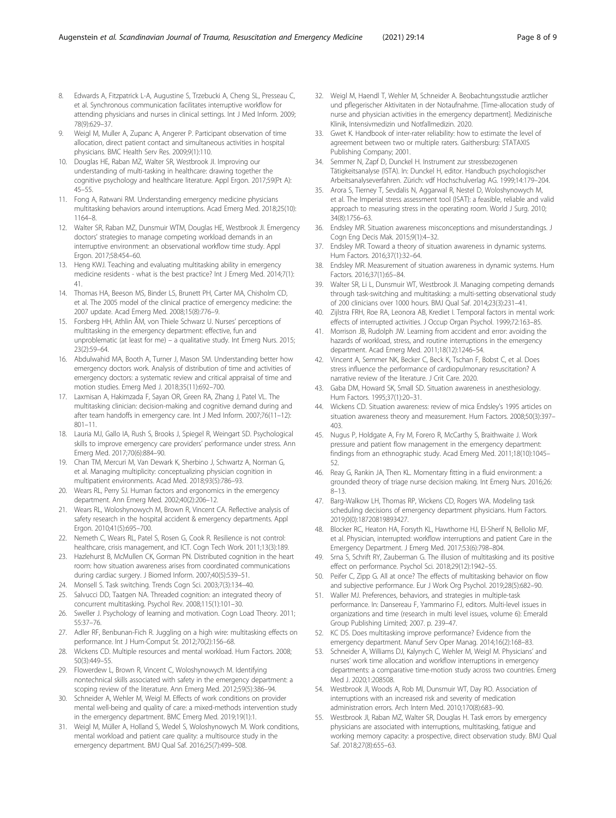- <span id="page-7-0"></span>8. Edwards A, Fitzpatrick L-A, Augustine S, Trzebucki A, Cheng SL, Presseau C, et al. Synchronous communication facilitates interruptive workflow for attending physicians and nurses in clinical settings. Int J Med Inform. 2009; 78(9):629–37.
- 9. Weigl M, Muller A, Zupanc A, Angerer P. Participant observation of time allocation, direct patient contact and simultaneous activities in hospital physicians. BMC Health Serv Res. 2009;9(1):110.
- 10. Douglas HE, Raban MZ, Walter SR, Westbrook JI. Improving our understanding of multi-tasking in healthcare: drawing together the cognitive psychology and healthcare literature. Appl Ergon. 2017;59(Pt A): 45–55.
- 11. Fong A, Ratwani RM. Understanding emergency medicine physicians multitasking behaviors around interruptions. Acad Emerg Med. 2018;25(10): 1164–8.
- 12. Walter SR, Raban MZ, Dunsmuir WTM, Douglas HE, Westbrook JI. Emergency doctors' strategies to manage competing workload demands in an interruptive environment: an observational workflow time study. Appl Ergon. 2017;58:454–60.
- 13. Heng KWJ. Teaching and evaluating multitasking ability in emergency medicine residents - what is the best practice? Int J Emerg Med. 2014;7(1): 41.
- 14. Thomas HA, Beeson MS, Binder LS, Brunett PH, Carter MA, Chisholm CD, et al. The 2005 model of the clinical practice of emergency medicine: the 2007 update. Acad Emerg Med. 2008;15(8):776–9.
- 15. Forsberg HH, Athlin ÅM, von Thiele Schwarz U. Nurses' perceptions of multitasking in the emergency department: effective, fun and unproblematic (at least for me) – a qualitative study. Int Emerg Nurs. 2015; 23(2):59–64.
- 16. Abdulwahid MA, Booth A, Turner J, Mason SM. Understanding better how emergency doctors work. Analysis of distribution of time and activities of emergency doctors: a systematic review and critical appraisal of time and motion studies. Emerg Med J. 2018;35(11):692–700.
- 17. Laxmisan A, Hakimzada F, Sayan OR, Green RA, Zhang J, Patel VL. The multitasking clinician: decision-making and cognitive demand during and after team handoffs in emergency care. Int J Med Inform. 2007;76(11–12): 801–11.
- 18. Lauria MJ, Gallo IA, Rush S, Brooks J, Spiegel R, Weingart SD. Psychological skills to improve emergency care providers' performance under stress. Ann Emerg Med. 2017;70(6):884–90.
- 19. Chan TM, Mercuri M, Van Dewark K, Sherbino J, Schwartz A, Norman G, et al. Managing multiplicity: conceptualizing physician cognition in multipatient environments. Acad Med. 2018;93(5):786–93.
- 20. Wears RL, Perry SJ. Human factors and ergonomics in the emergency department. Ann Emerg Med. 2002;40(2):206–12.
- 21. Wears RL, Woloshynowych M, Brown R, Vincent CA. Reflective analysis of safety research in the hospital accident & emergency departments. Appl Ergon. 2010;41(5):695–700.
- 22. Nemeth C, Wears RL, Patel S, Rosen G, Cook R. Resilience is not control: healthcare, crisis management, and ICT. Cogn Tech Work. 2011;13(3):189.
- 23. Hazlehurst B, McMullen CK, Gorman PN. Distributed cognition in the heart room: how situation awareness arises from coordinated communications during cardiac surgery. J Biomed Inform. 2007;40(5):539–51.
- 24. Monsell S. Task switching. Trends Cogn Sci. 2003;7(3):134–40.
- Salvucci DD, Taatgen NA. Threaded cognition: an integrated theory of concurrent multitasking. Psychol Rev. 2008;115(1):101–30.
- 26. Sweller J. Psychology of learning and motivation. Cogn Load Theory. 2011; 55:37–76.
- 27. Adler RF, Benbunan-Fich R. Juggling on a high wire: multitasking effects on performance. Int J Hum-Comput St. 2012;70(2):156–68.
- 28. Wickens CD. Multiple resources and mental workload. Hum Factors. 2008; 50(3):449–55.
- 29. Flowerdew L, Brown R, Vincent C, Woloshynowych M. Identifying nontechnical skills associated with safety in the emergency department: a scoping review of the literature. Ann Emerg Med. 2012;59(5):386–94.
- 30. Schneider A, Wehler M, Weigl M. Effects of work conditions on provider mental well-being and quality of care: a mixed-methods intervention study in the emergency department. BMC Emerg Med. 2019;19(1):1.
- 31. Weigl M, Müller A, Holland S, Wedel S, Woloshynowych M. Work conditions, mental workload and patient care quality: a multisource study in the emergency department. BMJ Qual Saf. 2016;25(7):499–508.
- 32. Weigl M, Haendl T, Wehler M, Schneider A. Beobachtungsstudie arztlicher und pflegerischer Aktivitaten in der Notaufnahme. [Time-allocation study of nurse and physician activities in the emergency department]. Medizinische Klinik, Intensivmedizin und Notfallmedizin. 2020.
- 33. Gwet K. Handbook of inter-rater reliability: how to estimate the level of agreement between two or multiple raters. Gaithersburg: STATAXIS Publishing Company; 2001.
- 34. Semmer N, Zapf D, Dunckel H. Instrument zur stressbezogenen Tätigkeitsanalyse (ISTA). In: Dunckel H, editor. Handbuch psychologischer Arbeitsanalyseverfahren. Zürich: vdf Hochschulverlag AG. 1999;14:179–204.
- 35. Arora S, Tierney T, Sevdalis N, Aggarwal R, Nestel D, Woloshynowych M, et al. The Imperial stress assessment tool (ISAT): a feasible, reliable and valid approach to measuring stress in the operating room. World J Surg. 2010; 34(8):1756–63.
- 36. Endsley MR. Situation awareness misconceptions and misunderstandings. J Cogn Eng Decis Mak. 2015;9(1):4–32.
- 37. Endsley MR. Toward a theory of situation awareness in dynamic systems. Hum Factors. 2016;37(1):32–64.
- 38. Endsley MR. Measurement of situation awareness in dynamic systems. Hum Factors. 2016;37(1):65–84.
- 39. Walter SR, Li L, Dunsmuir WT, Westbrook JI. Managing competing demands through task-switching and multitasking: a multi-setting observational study of 200 clinicians over 1000 hours. BMJ Qual Saf. 2014;23(3):231–41.
- 40. Zijlstra FRH, Roe RA, Leonora AB, Krediet I. Temporal factors in mental work: effects of interrupted activities. J Occup Organ Psychol. 1999;72:163–85.
- 41. Morrison JB, Rudolph JW. Learning from accident and error: avoiding the hazards of workload, stress, and routine interruptions in the emergency department. Acad Emerg Med. 2011;18(12):1246–54.
- 42. Vincent A, Semmer NK, Becker C, Beck K, Tschan F, Bobst C, et al. Does stress influence the performance of cardiopulmonary resuscitation? A narrative review of the literature. J Crit Care. 2020.
- 43. Gaba DM, Howard SK, Small SD. Situation awareness in anesthesiology. Hum Factors. 1995;37(1):20–31.
- 44. Wickens CD. Situation awareness: review of mica Endsley's 1995 articles on situation awareness theory and measurement. Hum Factors. 2008;50(3):397– 403.
- 45. Nugus P, Holdgate A, Fry M, Forero R, McCarthy S, Braithwaite J. Work pressure and patient flow management in the emergency department: findings from an ethnographic study. Acad Emerg Med. 2011;18(10):1045– 52.
- 46. Reay G, Rankin JA, Then KL. Momentary fitting in a fluid environment: a grounded theory of triage nurse decision making. Int Emerg Nurs. 2016;26: 8–13.
- 47. Barg-Walkow LH, Thomas RP, Wickens CD, Rogers WA. Modeling task scheduling decisions of emergency department physicians. Hum Factors. 2019;0(0):18720819893427.
- 48. Blocker RC, Heaton HA, Forsyth KL, Hawthorne HJ, El-Sherif N, Bellolio MF, et al. Physician, interrupted: workflow interruptions and patient Care in the Emergency Department. J Emerg Med. 2017;53(6):798–804.
- 49. Srna S, Schrift RY, Zauberman G. The illusion of multitasking and its positive effect on performance. Psychol Sci. 2018;29(12):1942–55.
- 50. Peifer C, Zipp G. All at once? The effects of multitasking behavior on flow and subjective performance. Eur J Work Org Psychol. 2019;28(5):682–90.
- 51. Waller MJ. Preferences, behaviors, and strategies in multiple-task performance. In: Dansereau F, Yammarino FJ, editors. Multi-level issues in organizations and time (research in multi level issues, volume 6): Emerald Group Publishing Limited; 2007. p. 239–47.
- 52. KC DS. Does multitasking improve performance? Evidence from the emergency department. Manuf Serv Oper Manag. 2014;16(2):168–83.
- 53. Schneider A, Williams DJ, Kalynych C, Wehler M, Weigl M. Physicians' and nurses' work time allocation and workflow interruptions in emergency departments: a comparative time-motion study across two countries. Emerg Med J. 2020;1:208508.
- 54. Westbrook JI, Woods A, Rob MI, Dunsmuir WT, Day RO. Association of interruptions with an increased risk and severity of medication administration errors. Arch Intern Med. 2010;170(8):683–90.
- 55. Westbrook JI, Raban MZ, Walter SR, Douglas H. Task errors by emergency physicians are associated with interruptions, multitasking, fatigue and working memory capacity: a prospective, direct observation study. BMJ Qual Saf. 2018;27(8):655–63.